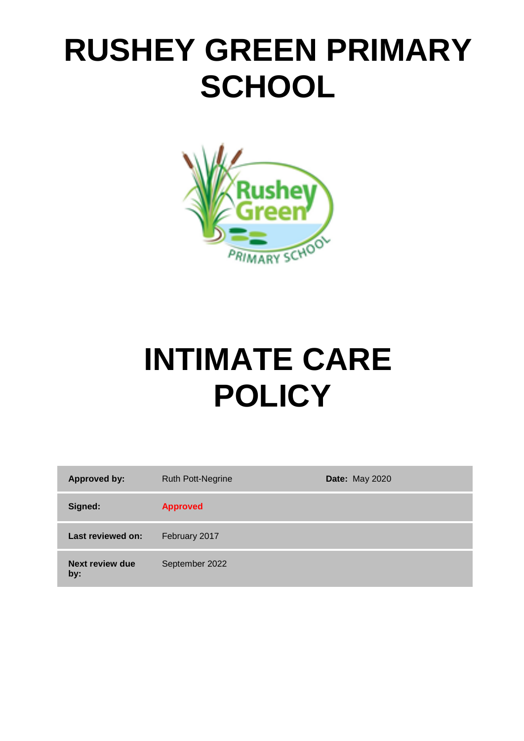## **RUSHEY GREEN PRIMARY SCHOOL**



# **INTIMATE CARE POLICY**

| <b>Approved by:</b>           | <b>Ruth Pott-Negrine</b> | <b>Date: May 2020</b> |
|-------------------------------|--------------------------|-----------------------|
| Signed:                       | <b>Approved</b>          |                       |
| Last reviewed on:             | February 2017            |                       |
| <b>Next review due</b><br>by: | September 2022           |                       |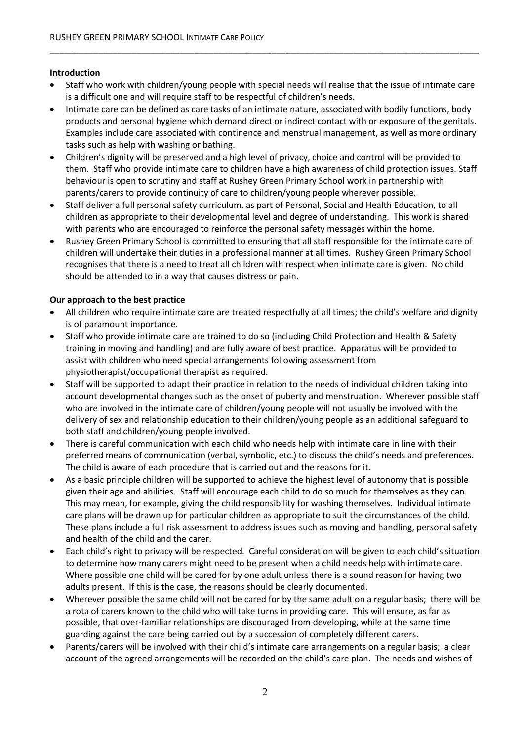#### **Introduction**

 Staff who work with children/young people with special needs will realise that the issue of intimate care is a difficult one and will require staff to be respectful of children's needs.

\_\_\_\_\_\_\_\_\_\_\_\_\_\_\_\_\_\_\_\_\_\_\_\_\_\_\_\_\_\_\_\_\_\_\_\_\_\_\_\_\_\_\_\_\_\_\_\_\_\_\_\_\_\_\_\_\_\_\_\_\_\_\_\_\_\_\_\_\_\_\_\_\_\_\_\_\_\_\_\_\_\_\_\_\_\_\_\_\_

- Intimate care can be defined as care tasks of an intimate nature, associated with bodily functions, body products and personal hygiene which demand direct or indirect contact with or exposure of the genitals. Examples include care associated with continence and menstrual management, as well as more ordinary tasks such as help with washing or bathing.
- Children's dignity will be preserved and a high level of privacy, choice and control will be provided to them. Staff who provide intimate care to children have a high awareness of child protection issues. Staff behaviour is open to scrutiny and staff at Rushey Green Primary School work in partnership with parents/carers to provide continuity of care to children/young people wherever possible.
- Staff deliver a full personal safety curriculum, as part of Personal, Social and Health Education, to all children as appropriate to their developmental level and degree of understanding. This work is shared with parents who are encouraged to reinforce the personal safety messages within the home.
- Rushey Green Primary School is committed to ensuring that all staff responsible for the intimate care of children will undertake their duties in a professional manner at all times. Rushey Green Primary School recognises that there is a need to treat all children with respect when intimate care is given. No child should be attended to in a way that causes distress or pain.

#### **Our approach to the best practice**

- All children who require intimate care are treated respectfully at all times; the child's welfare and dignity is of paramount importance.
- Staff who provide intimate care are trained to do so (including Child Protection and Health & Safety training in moving and handling) and are fully aware of best practice. Apparatus will be provided to assist with children who need special arrangements following assessment from physiotherapist/occupational therapist as required.
- Staff will be supported to adapt their practice in relation to the needs of individual children taking into account developmental changes such as the onset of puberty and menstruation. Wherever possible staff who are involved in the intimate care of children/young people will not usually be involved with the delivery of sex and relationship education to their children/young people as an additional safeguard to both staff and children/young people involved.
- There is careful communication with each child who needs help with intimate care in line with their preferred means of communication (verbal, symbolic, etc.) to discuss the child's needs and preferences. The child is aware of each procedure that is carried out and the reasons for it.
- As a basic principle children will be supported to achieve the highest level of autonomy that is possible given their age and abilities. Staff will encourage each child to do so much for themselves as they can. This may mean, for example, giving the child responsibility for washing themselves. Individual intimate care plans will be drawn up for particular children as appropriate to suit the circumstances of the child. These plans include a full risk assessment to address issues such as moving and handling, personal safety and health of the child and the carer.
- Each child's right to privacy will be respected. Careful consideration will be given to each child's situation to determine how many carers might need to be present when a child needs help with intimate care. Where possible one child will be cared for by one adult unless there is a sound reason for having two adults present. If this is the case, the reasons should be clearly documented.
- Wherever possible the same child will not be cared for by the same adult on a regular basis; there will be a rota of carers known to the child who will take turns in providing care. This will ensure, as far as possible, that over-familiar relationships are discouraged from developing, while at the same time guarding against the care being carried out by a succession of completely different carers.
- Parents/carers will be involved with their child's intimate care arrangements on a regular basis; a clear account of the agreed arrangements will be recorded on the child's care plan. The needs and wishes of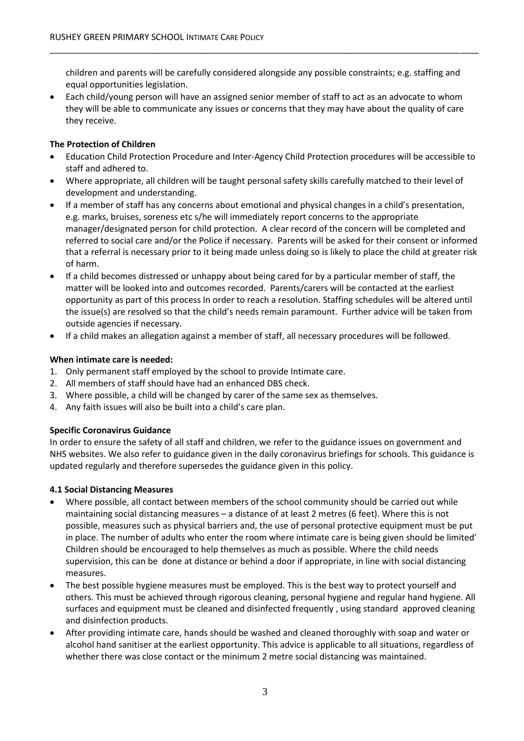children and parents will be carefully considered alongside any possible constraints; e.g. staffing and equal opportunities legislation.

\_\_\_\_\_\_\_\_\_\_\_\_\_\_\_\_\_\_\_\_\_\_\_\_\_\_\_\_\_\_\_\_\_\_\_\_\_\_\_\_\_\_\_\_\_\_\_\_\_\_\_\_\_\_\_\_\_\_\_\_\_\_\_\_\_\_\_\_\_\_\_\_\_\_\_\_\_\_\_\_\_\_\_\_\_\_\_\_\_

 Each child/young person will have an assigned senior member of staff to act as an advocate to whom they will be able to communicate any issues or concerns that they may have about the quality of care they receive.

#### **The Protection of Children**

- Education Child Protection Procedure and Inter-Agency Child Protection procedures will be accessible to staff and adhered to.
- Where appropriate, all children will be taught personal safety skills carefully matched to their level of development and understanding.
- If a member of staff has any concerns about emotional and physical changes in a child's presentation, e.g. marks, bruises, soreness etc s/he will immediately report concerns to the appropriate manager/designated person for child protection. A clear record of the concern will be completed and referred to social care and/or the Police if necessary. Parents will be asked for their consent or informed that a referral is necessary prior to it being made unless doing so is likely to place the child at greater risk of harm.
- If a child becomes distressed or unhappy about being cared for by a particular member of staff, the matter will be looked into and outcomes recorded. Parents/carers will be contacted at the earliest opportunity as part of this process In order to reach a resolution. Staffing schedules will be altered until the issue(s) are resolved so that the child's needs remain paramount. Further advice will be taken from outside agencies if necessary.
- If a child makes an allegation against a member of staff, all necessary procedures will be followed.

#### **When intimate care is needed:**

- 1. Only permanent staff employed by the school to provide Intimate care.
- 2. All members of staff should have had an enhanced DBS check.
- 3. Where possible, a child will be changed by carer of the same sex as themselves.
- 4. Any faith issues will also be built into a child's care plan.

#### **Specific Coronavirus Guidance**

In order to ensure the safety of all staff and children, we refer to the guidance issues on government and NHS websites. We also refer to guidance given in the daily coronavirus briefings for schools. This guidance is updated regularly and therefore supersedes the guidance given in this policy.

#### **4.1 Social Distancing Measures**

- Where possible, all contact between members of the school community should be carried out while maintaining social distancing measures – a distance of at least 2 metres (6 feet). Where this is not possible, measures such as physical barriers and, the use of personal protective equipment must be put in place. The number of adults who enter the room where intimate care is being given should be limited' Children should be encouraged to help themselves as much as possible. Where the child needs supervision, this can be done at distance or behind a door if appropriate, in line with social distancing measures.
- The best possible hygiene measures must be employed. This is the best way to protect yourself and others. This must be achieved through rigorous cleaning, personal hygiene and regular hand hygiene. All surfaces and equipment must be cleaned and disinfected frequently , using standard approved cleaning and disinfection products.
- After providing intimate care, hands should be washed and cleaned thoroughly with soap and water or alcohol hand sanitiser at the earliest opportunity. This advice is applicable to all situations, regardless of whether there was close contact or the minimum 2 metre social distancing was maintained.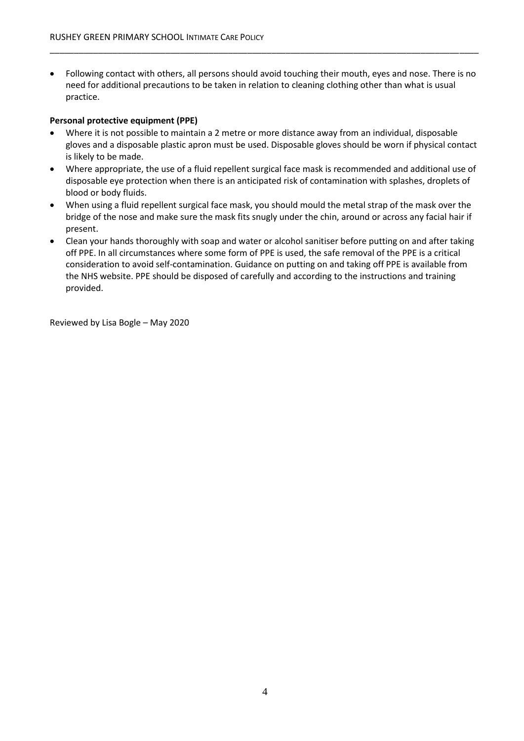Following contact with others, all persons should avoid touching their mouth, eyes and nose. There is no need for additional precautions to be taken in relation to cleaning clothing other than what is usual practice.

\_\_\_\_\_\_\_\_\_\_\_\_\_\_\_\_\_\_\_\_\_\_\_\_\_\_\_\_\_\_\_\_\_\_\_\_\_\_\_\_\_\_\_\_\_\_\_\_\_\_\_\_\_\_\_\_\_\_\_\_\_\_\_\_\_\_\_\_\_\_\_\_\_\_\_\_\_\_\_\_\_\_\_\_\_\_\_\_\_

#### **Personal protective equipment (PPE)**

- Where it is not possible to maintain a 2 metre or more distance away from an individual, disposable gloves and a disposable plastic apron must be used. Disposable gloves should be worn if physical contact is likely to be made.
- Where appropriate, the use of a fluid repellent surgical face mask is recommended and additional use of disposable eye protection when there is an anticipated risk of contamination with splashes, droplets of blood or body fluids.
- When using a fluid repellent surgical face mask, you should mould the metal strap of the mask over the bridge of the nose and make sure the mask fits snugly under the chin, around or across any facial hair if present.
- Clean your hands thoroughly with soap and water or alcohol sanitiser before putting on and after taking off PPE. In all circumstances where some form of PPE is used, the safe removal of the PPE is a critical consideration to avoid self-contamination. Guidance on putting on and taking off PPE is available from the NHS website. PPE should be disposed of carefully and according to the instructions and training provided.

Reviewed by Lisa Bogle – May 2020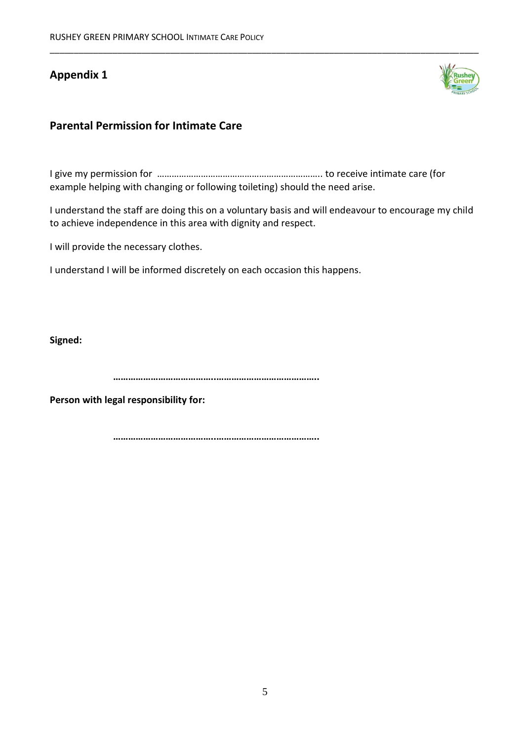## **Appendix 1**



## **Parental Permission for Intimate Care**

I give my permission for ………………………………………………………….. to receive intimate care (for example helping with changing or following toileting) should the need arise.

I understand the staff are doing this on a voluntary basis and will endeavour to encourage my child to achieve independence in this area with dignity and respect.

\_\_\_\_\_\_\_\_\_\_\_\_\_\_\_\_\_\_\_\_\_\_\_\_\_\_\_\_\_\_\_\_\_\_\_\_\_\_\_\_\_\_\_\_\_\_\_\_\_\_\_\_\_\_\_\_\_\_\_\_\_\_\_\_\_\_\_\_\_\_\_\_\_\_\_\_\_\_\_\_\_\_\_\_\_\_\_\_\_

I will provide the necessary clothes.

I understand I will be informed discretely on each occasion this happens.

**Signed:**

**…………………………………..…………………………………..**

**Person with legal responsibility for:**

**…………………………………..…………………………………..**